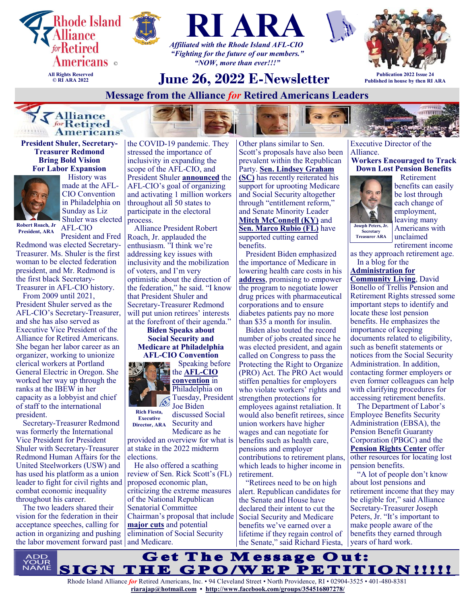





*"Fighting for the future of our members." "NOW, more than ever!!!"*

# **June 26, 2022 E-Newsletter**



**Publication 2022 Issue 24 Published in house by then RI ARA**

**Message from the Alliance** *for* **Retired Americans Leaders** 



**President Shuler, Secretary-Treasurer Redmond Bring Bold Vision For Labor Expansion**



 History was made at the AFL-CIO Convention in Philadelphia on Sunday as Liz Shuler was elected AFL-CIO

**Robert Roach, Jr President, ARA**

President and Fred Redmond was elected Secretary-Treasurer. Ms. Shuler is the first woman to be elected federation president, and Mr. Redmond is the first black Secretary-Treasurer in AFL-CIO history.

From 2009 until 2021, President Shuler served as the AFL-CIO's Secretary-Treasurer, and she has also served as Executive Vice President of the Alliance for Retired Americans. She began her labor career as an organizer, working to unionize clerical workers at Portland General Electric in Oregon. She worked her way up through the ranks at the IBEW in her capacity as a lobbyist and chief of staff to the international president.

Secretary-Treasurer Redmond was formerly the International Vice President for President Shuler with Secretary-Treasurer Redmond Human Affairs for the United Steelworkers (USW) and has used his platform as a union leader to fight for civil rights and combat economic inequality throughout his career.

The two leaders shared their vision for the federation in their acceptance speeches, calling for action in organizing and pushing the labor movement forward past and Medicare.



the COVID-19 pandemic. They stressed the importance of inclusivity in expanding the scope of the AFL-CIO, and President Shuler **[announced](https://aflcio.org/speeches/president-ehs-remarks)** the AFL-CIO's goal of organizing and activating 1 million workers throughout all 50 states to participate in the electoral process.

Alliance President Robert Roach, Jr. applauded the enthusiasm. "I think we're addressing key issues with inclusivity and the mobilization of voters, and I'm very optimistic about the direction of the federation," he said. "I know that President Shuler and Secretary-Treasurer Redmond will put union retirees' interests at the forefront of their agenda."

**Biden Speaks about Social Security and Medicare at Philadelphia AFL-CIO Convention** Speaking before the **AFL-[CIO](https://thehill.com/blogs/blog-briefing-room/news/3522847-biden-to-afl-cio-how-well-are-you-going-to-sleep-at-night-under-scott-tax-plan/)  [convention](https://thehill.com/blogs/blog-briefing-room/news/3522847-biden-to-afl-cio-how-well-are-you-going-to-sleep-at-night-under-scott-tax-plan/)** in Philadelphia on Tuesday, President Joe Biden discussed Social Security and Medicare as he **Rich Fiesta, Executive Director, ARA**

provided an overview for what is at stake in the 2022 midterm elections.

He also offered a scathing review of Sen. Rick Scott's (FL) proposed economic plan, criticizing the extreme measures of the National Republican Senatorial Committee Chairman's proposal that include **[major cuts](https://rollcall.com/2022/05/12/new-senior-focused-ads-from-democrats-focus-on-scotts-plans-for-medicare-social-security/)** and potential elimination of Social Security

Other plans similar to Sen. Scott's proposals have also been prevalent within the Republican Party. **[Sen. Lindsey Graham](https://www.msnbc.com/rachel-maddow-show/maddowblog/lindsey-graham-sets-sights-entitlement-reform-rcna33464)  [\(SC\)](https://www.msnbc.com/rachel-maddow-show/maddowblog/lindsey-graham-sets-sights-entitlement-reform-rcna33464)** has recently reiterated his support for uprooting Medicare and Social Security altogether through "entitlement reform," and Senate Minority Leader **[Mitch McConnell \(KY\)](https://www.newsweek.com/deficit-budget-tax-plan-social-security-medicaid-medicare-entitlement-1172941)** and **[Sen. Marco Rubio \(FL\)](https://www.newsweek.com/tax-plan-social-security-medicare-welfare-republicans-rubio-729133)** have supported cutting earned benefits.

President Biden emphasized the importance of Medicare in lowering health care costs in his **[address](https://www.whitehouse.gov/briefing-room/statements-releases/2022/06/14/remarks-by-president-biden-at-the-29th-afl-cio-quadrennial-constitutional-convention/)**, promising to empower the program to negotiate lower drug prices with pharmaceutical corporations and to ensure diabetes patients pay no more than \$35 a month for insulin.

Biden also touted the record number of jobs created since he was elected president, and again called on Congress to pass the Protecting the Right to Organize (PRO) Act. The PRO Act would stiffen penalties for employers who violate workers' rights and strengthen protections for employees against retaliation. It would also benefit retirees, since union workers have higher wages and can negotiate for benefits such as health care, pensions and employer contributions to retirement plans, which leads to higher income in retirement.

"Retirees need to be on high alert. Republican candidates for the Senate and House have declared their intent to cut the Social Security and Medicare benefits we've earned over a lifetime if they regain control of the Senate," said Richard Fiesta,

Executive Director of the Alliance. **Workers Encouraged to Track Down Lost Pension Benefits**

**Joseph Peters, Jr.** 

 Retirement benefits can easily be lost through each change of employment, leaving many Americans with unclaimed

**THURS MITTEEN** 

**Secretary Treasurer ARA**

retirement income as they approach retirement age. In a blog for the

**[Administration for](https://acl.gov/news-and-events/acl-blog/locating-lost-pensions)** 

**[Community Living](https://acl.gov/news-and-events/acl-blog/locating-lost-pensions)**, David Bonello of Trellis Pension and Retirement Rights stressed some important steps to identify and locate these lost pension benefits. He emphasizes the importance of keeping documents related to eligibility, such as benefit statements or notices from the Social Security Administration. In addition, contacting former employers or even former colleagues can help with clarifying procedures for accessing retirement benefits.

The Department of Labor's Employee Benefits Security Administration (EBSA), the Pension Benefit Guaranty Corporation (PBGC) and the **[Pension Rights Center](https://www.pensionrights.org/find-help/counseling-projects/)** offer other resources for locating lost pension benefits.

"A lot of people don't know about lost pensions and retirement income that they may be eligible for," said Alliance Secretary-Treasurer Joseph Peters, Jr. "It's important to make people aware of the benefits they earned through years of hard work.

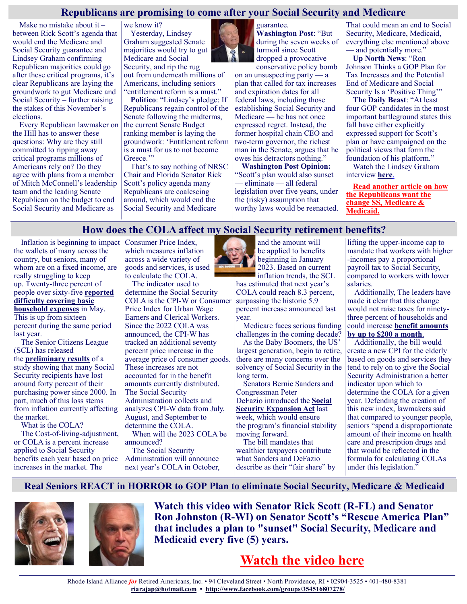# **Republicans are promising to come after your Social Security and Medicare**

Make no mistake about it – between Rick Scott's agenda that would end the Medicare and Social Security guarantee and Lindsey Graham confirming Republican majorities could go after these critical programs, it's clear Republicans are laying the groundwork to gut Medicare and Social Security – further raising the stakes of this November's elections.

Every Republican lawmaker on the Hill has to answer these questions: Why are they still committed to ripping away critical programs millions of Americans rely on? Do they agree with plans from a member of Mitch McConnell's leadership team and the leading Senate Republican on the budget to end Social Security and Medicare as

we know it?

Yesterday, Lindsey Graham suggested Senate majorities would try to gut Medicare and Social Security, and rip the rug out from underneath millions of Americans, including seniors – "entitlement reform is a must."

**[Politico](https://www.politico.com/minutes/congress/06-13-2022/a-sort-of-real-senate-debate/)**: "Lindsey's pledge: If Republicans regain control of the Senate following the midterms, the current Senate Budget ranking member is laying the groundwork: 'Entitlement reform is a must for us to not become Greece."

That's to say nothing of NRSC Chair and Florida Senator Rick Scott's policy agenda many Republicans are coalescing around, which would end the Social Security and Medicare



guarantee. **[Washington Post](https://www.washingtonpost.com/elections/2022/04/18/rick-scott-senate/)**: "But during the seven weeks of turmoil since Scott dropped a provocative conservative policy bomb

on an unsuspecting party — a plan that called for tax increases and expiration dates for all federal laws, including those establishing Social Security and Medicare — he has not once expressed regret. Instead, the former hospital chain CEO and two-term governor, the richest man in the Senate, argues that he owes his detractors nothing."

**[Washington Post Opinion:](https://www.washingtonpost.com/opinions/2022/03/11/yes-voters-deserve-know-this-gop-plan-would-raise-taxes-by-1-trillion/)** "Scott's plan would also sunset — eliminate — all federal legislation over five years, under the (risky) assumption that worthy laws would be reenacted.

That could mean an end to Social Security, Medicare, Medicaid, everything else mentioned above and potentially more."

**[Up North News](https://upnorthnewswi.com/2022/04/21/ron-johnson-thinks-a-gop-plan-for-tax-increases-and-the-potential-end-of-medicare-and-social-security-is-a-positive-thing/)**: "Ron Johnson Thinks a GOP Plan for Tax Increases and the Potential End of Medicare and Social Security Is a 'Positive Thing'"

**[The Daily Beast](https://www.thedailybeast.com/gop-candidates-cant-stop-touching-the-third-rail-of-politics)**: "At least four GOP candidates in the most important battleground states this fall have either explicitly expressed support for Scott's plan or have campaigned on the political views that form the foundation of his platform."

Watch the Lindsey Graham interview **[here](https://twitter.com/DNCWarRoom/status/1536436486119346176)**.

**[Read another article on how](https://www.msn.com/en-us/news/politics/republicans-want-to-reform-social-security-behind-closed-doors-%e2%80%94-beware/ar-AAYwj5d?li=BBnb7Kz&fbclid=IwAR0XFOusKkLtLv3WfQ9BgKpsgW7jYLpnNSfA1ww5rwD9iizj9lu6syS39Yc)  [the Republicans want the](https://www.msn.com/en-us/news/politics/republicans-want-to-reform-social-security-behind-closed-doors-%e2%80%94-beware/ar-AAYwj5d?li=BBnb7Kz&fbclid=IwAR0XFOusKkLtLv3WfQ9BgKpsgW7jYLpnNSfA1ww5rwD9iizj9lu6syS39Yc)  [change SS, Medicare &](https://www.msn.com/en-us/news/politics/republicans-want-to-reform-social-security-behind-closed-doors-%e2%80%94-beware/ar-AAYwj5d?li=BBnb7Kz&fbclid=IwAR0XFOusKkLtLv3WfQ9BgKpsgW7jYLpnNSfA1ww5rwD9iizj9lu6syS39Yc)  [Medicaid.](https://www.msn.com/en-us/news/politics/republicans-want-to-reform-social-security-behind-closed-doors-%e2%80%94-beware/ar-AAYwj5d?li=BBnb7Kz&fbclid=IwAR0XFOusKkLtLv3WfQ9BgKpsgW7jYLpnNSfA1ww5rwD9iizj9lu6syS39Yc)**

# **How does the COLA affect my Social Security retirement benefits?**

Inflation is beginning to impact Consumer Price Index, the wallets of many across the country, but seniors, many of whom are on a fixed income, are really struggling to keep up. Twenty-three percent of people over sixty-five **[reported](https://www.census.gov/data/tables/2021/demo/hhp/hhp30.html)  [difficulty covering basic](https://www.census.gov/data/tables/2021/demo/hhp/hhp30.html)  [household expenses](https://www.census.gov/data/tables/2021/demo/hhp/hhp30.html)** in May.

This is up from sixteen percent during the same period last year.

The Senior Citizens League (SCL) has released the **[preliminary results](https://seniorsleague.org/social-security-buying-power/)** of a study showing that many Social Security recipients have lost around forty percent of their purchasing power since 2000. In part, much of this loss stems from inflation currently affecting the market.

What is the COLA?

The Cost-of-living-adjustment, or COLA is a percent increase applied to Social Security benefits each year based on price increases in the market. The

which measures inflation across a wide variety of goods and services, is used to calculate the COLA.

The indicator used to determine the Social Security COLA is the CPI-W or Consumer Price Index for Urban Wage Earners and Clerical Workers. Since the 2022 COLA was announced, the CPI-W has tracked an additional seventy percent price increase in the average price of consumer goods. These increases are not accounted for in the benefit amounts currently distributed. The Social Security Administration collects and analyzes CPI-W data from July, August, and September to determine the COLA. When will the 2023 COLA be

announced? The Social Security Administration will announce next year's COLA in October,



and the amount will be applied to benefits beginning in January 2023. Based on current inflation trends, the SCL

has estimated that next year's COLA could reach 8.3 percent, surpassing the historic 5.9 percent increase announced last year.

Medicare faces serious funding challenges in the coming decade?

As the Baby Boomers, the US' largest generation, begin to retire, there are many concerns over the solvency of Social Security in the long term.

Senators Bernie Sanders and Congressman Peter DeFazio introduced the **[Social](https://www.sanders.senate.gov/press-releases/media-advisory-chairman-sanders-to-hold-budget-committee-hearing-on-saving-and-expanding-social-security/)  [Security Expansion Act](https://www.sanders.senate.gov/press-releases/media-advisory-chairman-sanders-to-hold-budget-committee-hearing-on-saving-and-expanding-social-security/)** last week, which would ensure the program's financial stability moving forward.

The bill mandates that wealthier taxpayers contribute what Sanders and DeFazio describe as their "fair share" by lifting the upper-income cap to mandate that workers with higher -incomes pay a proportional payroll tax to Social Security, compared to workers with lower salaries.

Additionally, The leaders have made it clear that this change would not raise taxes for ninetythree percent of households and could increase **[benefit amounts](https://en.as.com/latest_news/will-social-security-recipients-in-the-us-receive-an-extra-200-a-month-n/)  [by up to \\$200 a month](https://en.as.com/latest_news/will-social-security-recipients-in-the-us-receive-an-extra-200-a-month-n/)**.

Additionally, the bill would create a new CPI for the elderly based on goods and services they tend to rely on to give the Social Security Administration a better indicator upon which to determine the COLA for a given year. Defending the creation of this new index, lawmakers said that compared to younger people, seniors "spend a disproportionate amount of their income on health care and prescription drugs and that would be reflected in the formula for calculating COLAs under this legislation."

**Real Seniors REACT in HORROR to GOP Plan to eliminate Social Security, Medicare & Medicaid** 





**Watch this video with Senator Rick Scott (R-FL) and Senator Ron Johnston (R-WI) on Senator Scott's "Rescue America Plan" that includes a plan to "sunset" Social Security, Medicare and Medicaid every five (5) years.** 

# **[Watch the video here](https://youtu.be/7Lq0xIQQZa0)**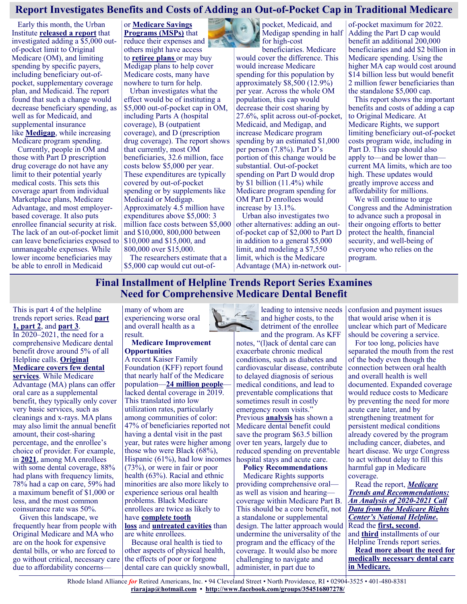# **Report Investigates Benefits and Costs of Adding an Out-of-Pocket Cap in Traditional Medicare**

Early this month, the Urban Institute **[released a report](https://www.urban.org/research/publication/adding-out-pocket-spending-limit-traditional-medicare)** that investigated adding a \$5,000 outof-pocket limit to Original Medicare (OM), and limiting spending by specific payers, including beneficiary out-ofpocket, supplementary coverage plan, and Medicaid. The report found that such a change would decrease beneficiary spending, as well as for Medicaid, and supplemental insurance like **[Medigap](https://www.medicareinteractive.org/get-answers/medicare-health-coverage-options/supplemental-insurance-for-original-medicare-medigaps/medigap-overview)**, while increasing Medicare program spending.

Currently, people in OM and those with Part D prescription drug coverage do not have any limit to their potential yearly medical costs. This sets this coverage apart from individual Marketplace plans, Medicare Advantage, and most employerbased coverage. It also puts enrollee financial security at risk. The lack of an out-of-pocket limit can leave beneficiaries exposed to unmanageable expenses. While lower income beneficiaries may be able to enroll in Medicaid

or **[Medicare Savings](https://www.medicareinteractive.org/get-answers/cost-saving-programs-for-people-with-medicare/medicare-savings-programs-qmb-slmb-qi/medicare-savings-program-basics)  [Programs \(MSPs\)](https://www.medicareinteractive.org/get-answers/cost-saving-programs-for-people-with-medicare/medicare-savings-programs-qmb-slmb-qi/medicare-savings-program-basics)** that reduce their expenses and others might have access to **[retiree plans](https://www.medicareinteractive.org/get-answers/coordinating-medicare-with-other-types-of-insurance/retiree-insurance-and-medicare/retiree-insurance-and-medicare-coordination)** or may buy Medigap plans to help cover Medicare costs, many have nowhere to turn for help.

Urban investigates what the effect would be of instituting a \$5,000 out-of-pocket cap in OM, including Parts A (hospital coverage), B (outpatient coverage), and D (prescription drug coverage). The report shows that currently, most OM beneficiaries, 32.6 million, face costs below \$5,000 per year. These expenditures are typically covered by out-of-pocket spending or by supplements like Medicaid or Medigap. Approximately 4.5 million have expenditures above \$5,000: 3 million face costs between \$5,000 and \$10,000, 800,000 between \$10,000 and \$15,000, and 800,000 over \$15,000. The researchers estimate that a



pocket, Medicaid, and Medigap spending in half for high-cost

beneficiaries. Medicare would cover the difference. This would increase Medicare spending for this population by approximately \$8,500 (12.9%) per year. Across the whole OM population, this cap would decrease their cost sharing by 27.6%, split across out-of-pocket, Medicaid, and Medigap, and increase Medicare program spending by an estimated \$1,000 per person (7.8%). Part D's portion of this change would be substantial. Out-of-pocket spending on Part D would drop by \$1 billion (11.4%) while Medicare program spending for OM Part D enrollees would increase by 13.1%.

Urban also investigates two other alternatives: adding an outof-pocket cap of \$2,000 to Part D in addition to a general \$5,000 limit, and modeling a \$7,550 limit, which is the Medicare Advantage (MA) in-network outof-pocket maximum for 2022. Adding the Part D cap would benefit an additional 200,000 beneficiaries and add \$2 billion in Medicare spending. Using the higher MA cap would cost around \$14 billion less but would benefit 2 million fewer beneficiaries than the standalone \$5,000 cap.

This report shows the important benefits and costs of adding a cap to Original Medicare. At Medicare Rights, we support limiting beneficiary out-of-pocket costs program wide, including in Part D. This cap should also apply to—and be lower than current MA limits, which are too high. These updates would greatly improve access and affordability for millions.

We will continue to urge. Congress and the Administration to advance such a proposal in their ongoing efforts to better protect the health, financial security, and well-being of everyone who relies on the program.

# **Final Installment of Helpline Trends Report Series Examines Need for Comprehensive Medicare Dental Benefit**

This is part 4 of the helpline trends report series. Read **[part](https://www.medicarerights.org/medicare-watch/2022/05/26/medicare-rights-annual-trends-report-outlines-key-challenges-facing-people-with-medicare)  [1,](https://www.medicarerights.org/medicare-watch/2022/05/26/medicare-rights-annual-trends-report-outlines-key-challenges-facing-people-with-medicare) [part 2](https://www.medicarerights.org/medicare-watch/2022/06/02/medicare-rights-trends-report-highlights-medicare-advantage-and-part-d-coverage-denials)**, and **[part 3](https://www.medicarerights.org/medicare-watch/2022/06/09/medicare-rights-trends-report-shows-part-d-enrollees-continue-to-struggle-with-costs-and-other-barriers-to-care)**. In 2020–2021, the need for a comprehensive Medicare dental benefit drove around 5% of all Helpline calls. **[Original](https://www.medicareinteractive.org/get-answers/medicare-covered-services/limited-medicare-coverage-vision-and-dental/medicare-and-dental-care)  [Medicare covers few dental](https://www.medicareinteractive.org/get-answers/medicare-covered-services/limited-medicare-coverage-vision-and-dental/medicare-and-dental-care)  [services](https://www.medicareinteractive.org/get-answers/medicare-covered-services/limited-medicare-coverage-vision-and-dental/medicare-and-dental-care)**. While Medicare

Advantage (MA) plans can offer oral care as a supplemental benefit, they typically only cover very basic services, such as cleanings and x-rays. MA plans may also limit the annual benefit amount, their cost-sharing percentage, and the enrollee's choice of provider. For example, in **[2021](https://www.kff.org/medicare/issue-brief/medicare-and-dental-coverage-a-closer-look/)**, among MA enrollees with some dental coverage, 88% had plans with frequency limits, 78% had a cap on care, 59% had a maximum benefit of \$1,000 or less, and the most common coinsurance rate was 50%.

Given this landscape, we frequently hear from people with Original Medicare and MA who are on the hook for expensive dental bills, or who are forced to go without critical, necessary care due to affordability concerns-

many of whom are experiencing worse oral and overall health as a result.

#### **Medicare Improvement Opportunities**

\$5,000 cap would cut out-of-

A recent Kaiser Family Foundation (KFF) report found that nearly half of the Medicare population—**[24 million people](https://www.kff.org/medicare/issue-brief/medicare-and-dental-coverage-a-closer-look/)** lacked dental coverage in 2019. This translated into low utilization rates, particularly among communities of color: 47% of beneficiaries reported not having a dental visit in the past year, but rates were higher among those who were Black (68%), Hispanic (61%), had low incomes (73%), or were in fair or poor health (63%). Racial and ethnic minorities are also more likely to experience serious oral health problems. Black Medicare enrollees are twice as likely to have **[complete tooth](https://www.cdc.gov/nchs/products/databriefs/db368.htm)  [loss](https://www.cdc.gov/nchs/products/databriefs/db368.htm)** and **[untreated cavities](https://www.cdc.gov/oralhealth/oral_health_disparities/index.htm#:~:text=65%20or%20Older-,Untreated%20cavities%20and%20racial%20or%20ethnic%20groups.,older%20non%2DHispanic%20White%20adults.)** than are white enrollees.

Because oral health is tied to other aspects of physical health, the effects of poor or forgone dental care can quickly snowball,



leading to intensive needs and higher costs, to the detriment of the enrollee and the program. As KFF

notes, "(l)ack of dental care can exacerbate chronic medical conditions, such as diabetes and cardiovascular disease, contribute to delayed diagnosis of serious medical conditions, and lead to preventable complications that sometimes result in costly emergency room visits." Previous **[analysis](https://oralhealth.hsdm.harvard.edu/files/oralhealth/files/avalere_health_estimated_impact_of_medicare_periodontal_coverage.pdf)** has shown a Medicare dental benefit could save the program \$63.5 billion over ten years, largely due to reduced spending on preventable hospital stays and acute care.

**Policy Recommendations** Medicare Rights supports providing comprehensive oral as well as vision and hearing coverage within Medicare Part B. This should be a core benefit, not a standalone or supplemental design. The latter approach would undermine the universality of the program and the efficacy of the coverage. It would also be more challenging to navigate and administer, in part due to

confusion and payment issues that would arise when it is unclear which part of Medicare should be covering a service.

For too long, policies have separated the mouth from the rest of the body even though the connection between oral health and overall health is well documented. Expanded coverage would reduce costs to Medicare by preventing the need for more acute care later, and by strengthening treatment for persistent medical conditions already covered by the program including cancer, diabetes, and heart disease. We urge Congress to act without delay to fill this harmful gap in Medicare coverage.

Read the report, *[Medicare](https://www.medicarerights.org/policy-documents/2020-2021-medicare-trends-and-recommendations)  [Trends and Recommendations:](https://www.medicarerights.org/policy-documents/2020-2021-medicare-trends-and-recommendations)  [An Analysis of 2020](https://www.medicarerights.org/policy-documents/2020-2021-medicare-trends-and-recommendations)-2021 Call [Data from the Medicare Rights](https://www.medicarerights.org/policy-documents/2020-2021-medicare-trends-and-recommendations)  [Center's National Helpline](https://www.medicarerights.org/policy-documents/2020-2021-medicare-trends-and-recommendations)***.** Read the **[first,](https://www.medicarerights.org/medicare-watch/2022/05/26/medicare-rights-annual-trends-report-outlines-key-challenges-facing-people-with-medicare) second**, and **[third](https://www.medicarerights.org/medicare-watch/2022/06/09/medicare-rights-trends-report-shows-part-d-enrollees-continue-to-struggle-with-costs-and-other-barriers-to-care)** installments of our Helpline Trends report series.

**[Read more about the need for](https://www.medicarerights.org/medicare-watch/2022/02/17/community-statement-highlights-need-for-medicare-coverage-for-medically-necessary-oral-care)  [medically necessary dental care](https://www.medicarerights.org/medicare-watch/2022/02/17/community-statement-highlights-need-for-medicare-coverage-for-medically-necessary-oral-care)  [in Medicare.](https://www.medicarerights.org/medicare-watch/2022/02/17/community-statement-highlights-need-for-medicare-coverage-for-medically-necessary-oral-care)**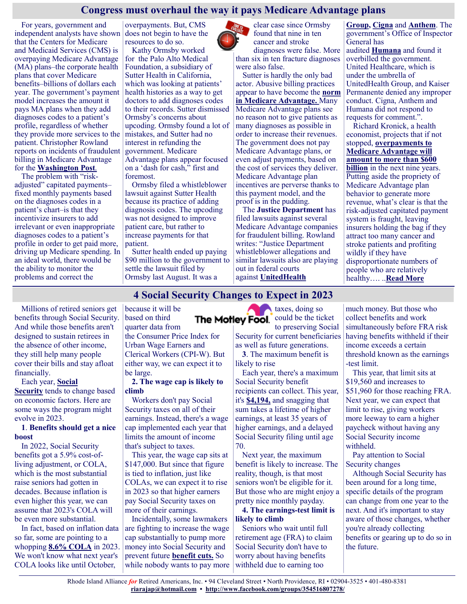# **Congress must overhaul the way it pays Medicare Advantage plans**

For years, government and independent analysts have shown that the Centers for Medicare and Medicaid Services (CMS) is overpaying Medicare Advantage (MA) plans–the corporate health plans that cover Medicare benefits–billions of dollars each year. The government's payment model increases the amount it pays MA plans when they add diagnoses codes to a patient's profile, regardless of whether they provide more services to the patient. Christopher Rowland reports on incidents of fraudulent billing in Medicare Advantage for the **[Washington Post](https://www.washingtonpost.com/business/2022/06/05/medicare-advantage-records-fraud/)**.

The problem with "riskadjusted" capitated payments– fixed monthly payments based on the diagnoses codes in a patient's chart–is that they incentivize insurers to add irrelevant or even inappropriate diagnoses codes to a patient's profile in order to get paid more, driving up Medicare spending. In an ideal world, there would be the ability to monitor the problems and correct the

overpayments. But, CMS does not begin to have the resources to do so.

Kathy Ormsby worked for the Palo Alto Medical Foundation, a subsidiary of Sutter Health in California, which was looking at patients' health histories as a way to get doctors to add diagnoses codes to their records. Sutter dismissed Ormsby's concerns about upcoding. Ormsby found a lot of mistakes, and Sutter had no interest in refunding the government. Medicare Advantage plans appear focused on a 'dash for cash," first and foremost.

Ormsby filed a whistleblower lawsuit against Sutter Health because its practice of adding diagnosis codes. The upcoding was not designed to improve patient care, but rather to increase payments for that patient.

Sutter health ended up paying \$90 million to the government to settle the lawsuit filed by Ormsby last August. It was a

clear case since Ormsby found that nine in ten cancer and stroke

diagnoses were false. More than six in ten fracture diagnoses were also false.

Sutter is hardly the only bad actor. Abusive billing practices appear to have become the **[norm](https://justcareusa.org/justice-department-sues-anthem-for-medicare-advantage-fraud/)  [in Medicare Advantage.](https://justcareusa.org/justice-department-sues-anthem-for-medicare-advantage-fraud/)** Many Medicare Advantage plans see no reason not to give patients as many diagnoses as possible in order to increase their revenues. The government does not pay Medicare Advantage plans, or even adjust payments, based on the cost of services they deliver. Medicare Advantage plan incentives are perverse thanks to this payment model, and the proof is in the pudding.

The **[Justice Department](https://justcareusa.org/justice-department-sues-unitedhealth-medicare-advantage-for-fraud/)** has filed lawsuits against several Medicare Advantage companies for fraudulent billing. Rowland writes: "Justice Department whistleblower allegations and similar lawsuits also are playing out in federal courts against **[UnitedHealth](https://www.justice.gov/opa/pr/united-states-intervenes-false-claims-act-lawsuit-against-unitedhealth-group-inc-mischarging)** 

**[Group,](https://www.justice.gov/opa/pr/united-states-intervenes-false-claims-act-lawsuit-against-unitedhealth-group-inc-mischarging) [Cigna](https://www.fiercehealthcare.com/payer/doj-files-suit-against-cigna-over-allegations-medicare-advantage-fraud)** and **[Anthem](https://www.justice.gov/usao-sdny/pr/manhattan-us-attorney-files-civil-fraud-suit-against-anthem-inc-falsely-certifying)**. The government's Office of Inspector General has audited **[Humana](https://www.npr.org/sections/health-shots/2021/04/20/988817003/humana-inc-overcharged-medicare-nearly-200-million-federal-audit-finds)** and found it overbilled the government. United Healthcare, which is under the umbrella of UnitedHealth Group, and Kaiser Permanente denied any improper conduct. Cigna, Anthem and Humana did not respond to requests for comment.".

Richard Kronick, a health economist, projects that if not stopped, **[overpayments to](https://justcareusa.org/evidence-abounds-that-medicare-advantage-needs-an-overhaul/)  [Medicare Advantage will](https://justcareusa.org/evidence-abounds-that-medicare-advantage-needs-an-overhaul/)  [amount to more than \\$600](https://justcareusa.org/evidence-abounds-that-medicare-advantage-needs-an-overhaul/)  [billion](https://justcareusa.org/evidence-abounds-that-medicare-advantage-needs-an-overhaul/)** in the next nine years. Putting aside the propriety of Medicare Advantage plan behavior to generate more revenue, what's clear is that the risk-adjusted capitated payment system is fraught, leaving insurers holding the bag if they attract too many cancer and stroke patients and profiting wildly if they have disproportionate numbers of people who are relatively healthy…. ..**[Read More](https://justcareusa.org/congress-must-overhaul-the-way-it-pays-medicare-advantage-plans/)**

# **4 Social Security Changes to Expect in 2023**

Millions of retired seniors get benefits through Social Security. And while those benefits aren't designed to sustain retirees in the absence of other income, they still help many people cover their bills and stay afloat financially.

Each year, **[Social](https://www.fool.com/retirement/social-security/?utm_source=msnrss&utm_medium=feed&utm_campaign=article&referring_guid=b1629b27-063b-46fb-8459-fcf90cfe8ec0)  [Security](https://www.fool.com/retirement/social-security/?utm_source=msnrss&utm_medium=feed&utm_campaign=article&referring_guid=b1629b27-063b-46fb-8459-fcf90cfe8ec0)** tends to change based on economic factors. Here are some ways the program might evolve in 2023.

#### **1**. **Benefits should get a nice boost**

In 2022, Social Security benefits got a 5.9% cost-ofliving adjustment, or COLA, which is the most substantial raise seniors had gotten in decades. Because inflation is even higher this year, we can assume that 2023's COLA will be even more substantial.

In fact, based on inflation data so far, some are pointing to a whopping **[8.6% COLA](https://www.fool.com/investing/2022/05/15/social-security-benefits-could-rise-86-in-2023-but/?utm_source=msnrss&utm_medium=feed&utm_campaign=article&referring_guid=b1629b27-063b-46fb-8459-fcf90cfe8ec0)** in 2023. We won't know what next year's COLA looks like until October,

because it will be based on third quarter data from the Consumer Price Index for

Urban Wage Earners and Clerical Workers (CPI-W). But either way, we can expect it to be large.

**2. The wage cap is likely to climb**

Workers don't pay Social Security taxes on all of their earnings. Instead, there's a wage cap implemented each year that limits the amount of income that's subject to taxes.

This year, the wage cap sits at \$147,000. But since that figure is tied to inflation, just like COLAs, we can expect it to rise in 2023 so that higher earners pay Social Security taxes on more of their earnings.

Incidentally, some lawmakers are fighting to increase the wage cap substantially to pump more money into Social Security and prevent future **[benefit cuts.](https://www.fool.com/investing/2022/06/17/social-security-cuts-are-on-the-table-do-these-thi/?utm_source=msnrss&utm_medium=feed&utm_campaign=article&referring_guid=b1629b27-063b-46fb-8459-fcf90cfe8ec0)** So while nobody wants to pay more

taxes, doing so The Motley Fool. could be the ticket

to preserving Social Security for current beneficiaries as well as future generations.

**3**. The maximum benefit is likely to rise

Each year, there's a maximum Social Security benefit recipients can collect. This year, it's **[\\$4,194,](https://www.fool.com/investing/2022/06/05/how-will-your-social-security-stack-up-to-the-4194/?utm_source=msnrss&utm_medium=feed&utm_campaign=article&referring_guid=b1629b27-063b-46fb-8459-fcf90cfe8ec0)** and snagging that sum takes a lifetime of higher earnings, at least 35 years of higher earnings, and a delayed Social Security filing until age 70.

Next year, the maximum benefit is likely to increase. The reality, though, is that most seniors won't be eligible for it. But those who are might enjoy a pretty nice monthly payday.

#### **4. The earnings-test limit is likely to climb**

Seniors who wait until full retirement age (FRA) to claim Social Security don't have to worry about having benefits withheld due to earning too

much money. But those who collect benefits and work simultaneously before FRA risk having benefits withheld if their income exceeds a certain threshold known as the earnings -test limit.

This year, that limit sits at \$19,560 and increases to \$51,960 for those reaching FRA. Next year, we can expect that limit to rise, giving workers more leeway to earn a higher paycheck without having any Social Security income withheld.

Pay attention to Social Security changes

Although Social Security has been around for a long time, specific details of the program can change from one year to the next. And it's important to stay aware of those changes, whether you're already collecting benefits or gearing up to do so in the future.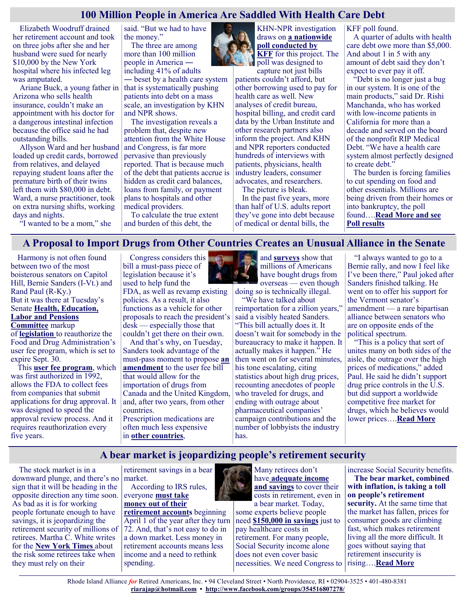# **100 Million People in America Are Saddled With Health Care Debt**

Elizabeth Woodruff drained her retirement account and took on three jobs after she and her husband were sued for nearly \$10,000 by the New York hospital where his infected leg was amputated.

Ariane Buck, a young father in Arizona who sells health insurance, couldn't make an appointment with his doctor for a dangerous intestinal infection because the office said he had outstanding bills.

Allyson Ward and her husband loaded up credit cards, borrowed from relatives, and delayed repaying student loans after the premature birth of their twins left them with \$80,000 in debt. Ward, a nurse practitioner, took on extra nursing shifts, working days and nights.

said. "But we had to have the money." The three are among

more than 100 million people in America ― including 41% of adults

― beset by a health care system that is systematically pushing patients into debt on a mass scale, an investigation by KHN and NPR shows.

The investigation reveals a problem that, despite new attention from the White House and Congress, is far more pervasive than previously reported. That is because much of the debt that patients accrue is hidden as credit card balances, loans from family, or payment plans to hospitals and other medical providers.

To calculate the true extent and burden of this debt, the



KHN-NPR investigation draws on **[a nationwide](https://www.kff.org/health-costs/report/kff-health-care-debt-survey/)  [poll conducted by](https://www.kff.org/health-costs/report/kff-health-care-debt-survey/)  [KFF](https://www.kff.org/health-costs/report/kff-health-care-debt-survey/)** for this project. The poll was designed to capture not just bills

patients couldn't afford, but other borrowing used to pay for health care as well. New analyses of credit bureau, hospital billing, and credit card data by the Urban Institute and other research partners also inform the project. And KHN and NPR reporters conducted hundreds of interviews with patients, physicians, health industry leaders, consumer advocates, and researchers.

The picture is bleak.

In the past five years, more than half of U.S. adults report they've gone into debt because of medical or dental bills, the

KFF poll found.

A quarter of adults with health care debt owe more than \$5,000. And about 1 in 5 with any amount of debt said they don't expect to ever pay it off.

"Debt is no longer just a bug in our system. It is one of the main products," said Dr. Rishi Manchanda, who has worked with low-income patients in California for more than a decade and served on the board of the nonprofit RIP Medical Debt. "We have a health care system almost perfectly designed to create debt."

The burden is forcing families to cut spending on food and other essentials. Millions are being driven from their homes or into bankruptcy, the poll found….**[Read More and see](https://khn.org/news/article/diagnosis-debt-investigation-100-million-americans-hidden-medical-debt/)  [Poll results](https://khn.org/news/article/diagnosis-debt-investigation-100-million-americans-hidden-medical-debt/)**

"I wanted to be a mom," she

## **A Proposal to Import Drugs from Other Countries Creates an Unusual Alliance in the Senate**

Harmony is not often found between two of the most boisterous senators on Capitol Hill, Bernie Sanders (I-Vt.) and Rand Paul (R-Ky.) But it was there at Tuesday's Senate **[Health, Education,](https://www.help.senate.gov/hearings/s-4348-s-958-s-4353-hr-1193-and-s-4053)  [Labor and Pensions](https://www.help.senate.gov/hearings/s-4348-s-958-s-4353-hr-1193-and-s-4053)  [Committee](https://www.help.senate.gov/hearings/s-4348-s-958-s-4353-hr-1193-and-s-4053)** markup

of **[legislation](https://www.help.senate.gov/chair/newsroom/press/murray-leads-help-committee-in-advancing-historic-bipartisan-bills-to-lower-drug-costs-strengthen-workers-retirement-security-more)** to reauthorize the Food and Drug Administration's user fee program, which is set to expire Sept. 30.

This **[user fee program](https://www.fda.gov/news-events/congressional-testimony/fda-user-fee-reauthorization-ensuring-safe-and-effective-drugs-and-biologics-02032022)**, which was first authorized in 1992, allows the FDA to collect fees from companies that submit applications for drug approval. It was designed to speed the approval review process. And it requires reauthorization every five years.

Congress considers this bill a must-pass piece of legislation because it's used to help fund the

FDA, as well as revamp existing policies. As a result, it also functions as a vehicle for other proposals to reach the president's desk — especially those that couldn't get there on their own.

And that's why, on Tuesday, Sanders took advantage of the must-pass moment to propose **[an](https://www.documentcloud.org/documents/22061611-sanders-s4348-amendment-1)  [amendment](https://www.documentcloud.org/documents/22061611-sanders-s4348-amendment-1)** to the user fee bill that would allow for the importation of drugs from Canada and the United Kingdom, and, after two years, from other countries.

Prescription medications are often much less expensive in **[other countries](https://www.healthsystemtracker.org/chart-collection/how-do-prescription-drug-costs-in-the-united-states-compare-to-other-countries/#Per%20capita%20prescribed%20medicine%20spending,%20U.S.%20dollars,%202004-2019)**,



and **[surveys](https://files.kff.org/attachment/Kaiser-Health-Tracking-Poll-November-2016-Topline)** show that millions of Americans have bought drugs from overseas — even though

doing so is technically illegal. "We have talked about

reimportation for a zillion years," said a visibly heated Sanders. "This bill actually does it. It doesn't wait for somebody in the bureaucracy to make it happen. It actually makes it happen." He then went on for several minutes, his tone escalating, citing statistics about high drug prices, recounting anecdotes of people who traveled for drugs, and ending with outrage about pharmaceutical companies' campaign contributions and the number of lobbyists the industry has.

"I always wanted to go to a Bernie rally, and now I feel like I've been there," Paul joked after Sanders finished talking. He went on to offer his support for the Vermont senator's amendment — a rare bipartisan alliance between senators who are on opposite ends of the political spectrum.

"This is a policy that sort of unites many on both sides of the aisle, the outrage over the high prices of medications," added Paul. He said he didn't support drug price controls in the U.S. but did support a worldwide competitive free market for drugs, which he believes would lower prices….**[Read More](https://khn.org/news/article/drug-imports-canada-senate-sanders-paul-unusual-alliance/)**

# **A bear market is jeopardizing people's retirement security**

The stock market is in a downward plunge, and there's no sign that it will be heading in the opposite direction any time soon. As bad as it is for working people fortunate enough to have savings, it is jeopardizing the retirement security of millions of retirees. Martha C. White writes for the **[New York Times](https://www.nytimes.com/2022/06/12/business/retiring-bear-market.html)** about the risk some retirees take when they must rely on their

retirement savings in a bear market.

According to IRS rules, everyone **[must take](https://justcareusa.org/beginning-at-age-70-5-you-must-withdraw-money-from-your-retirement-accounts/)  [money out of their](https://justcareusa.org/beginning-at-age-70-5-you-must-withdraw-money-from-your-retirement-accounts/)** 

**[retirement accounts](https://justcareusa.org/beginning-at-age-70-5-you-must-withdraw-money-from-your-retirement-accounts/)** beginning April 1 of the year after they turn 72. And, that's not easy to do in a down market. Less money in retirement accounts means less income and a need to rethink spending.



some experts believe people need **[\\$150,000 in savings](https://justcareusa.org/150000-your-health-care-costs-in-retirement/)** just to pay healthcare costs in retirement. For many people, Social Security income alone does not even cover basic necessities. We need Congress to

increase Social Security benefits. **The bear market, combined with inflation, is taking a toll on people's retirement security.** At the same time that the market has fallen, prices for consumer goods are climbing fast, which makes retirement living all the more difficult. It goes without saying that retirement insecurity is rising….**[Read More](https://justcareusa.org/a-bear-market-is-jeopardizing-peoples-retirement-security/)**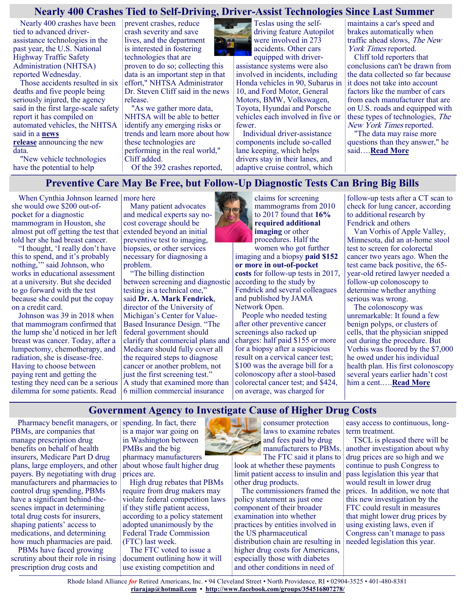## **Nearly 400 Crashes Tied to Self-Driving, Driver-Assist Technologies Since Last Summer**

Nearly 400 crashes have been tied to advanced driverassistance technologies in the past year, the U.S. National Highway Traffic Safety Administration (NHTSA) reported Wednesday.

Those accidents resulted in six deaths and five people being seriously injured, the agency said in the first large-scale safety report it has compiled on automated vehicles, the NHTSA said in a **[news](https://www.nhtsa.gov/press-releases/initial-data-release-advanced-vehicle-technologies)  [release](https://www.nhtsa.gov/press-releases/initial-data-release-advanced-vehicle-technologies)** announcing the new data.

"New vehicle technologies have the potential to help

prevent crashes, reduce crash severity and save lives, and the department is interested in fostering technologies that are proven to do so; collecting this data is an important step in that effort," NHTSA Administrator Dr. Steven Cliff said in the news release.

"As we gather more data, NHTSA will be able to better identify any emerging risks or trends and learn more about how these technologies are performing in the real world," Cliff added. Of the 392 crashes reported,



assistance systems were also involved in incidents, including Honda vehicles in 90, Subarus in 10, and Ford Motor, General Motors, BMW, Volkswagen, Toyota, Hyundai and Porsche vehicles each involved in five or fewer.

Individual driver-assistance components include so-called lane keeping, which helps drivers stay in their lanes, and adaptive cruise control, which maintains a car's speed and brakes automatically when traffic ahead slows, The New York Times reported.

Cliff told reporters that conclusions can't be drawn from the data collected so far because it does not take into account factors like the number of cars from each manufacturer that are on U.S. roads and equipped with these types of technologies, The New York Times reported.

"The data may raise more questions than they answer," he said….**[Read More](https://consumer.healthday.com/b-6-15-nearly-400-crashes-tied-to-self-driving-cars-2657513279.html)**

#### **Preventive Care May Be Free, but Follow-Up Diagnostic Tests Can Bring Big Bills**

When Cynthia Johnson learned more here she would owe \$200 out-ofpocket for a diagnostic mammogram in Houston, she almost put off getting the test that told her she had breast cancer.

"I thought, 'I really don't have this to spend, and it's probably nothing,"" said Johnson, who works in educational assessment at a university. But she decided to go forward with the test because she could put the copay on a credit card.

Johnson was 39 in 2018 when that mammogram confirmed that the lump she'd noticed in her left breast was cancer. Today, after a lumpectomy, chemotherapy, and radiation, she is disease-free. Having to choose between paying rent and getting the testing they need can be a serious dilemma for some patients. Read

Many patient advocates and medical experts say nocost coverage should be extended beyond an initial preventive test to imaging, biopsies, or other services necessary for diagnosing a problem.

"The billing distinction between screening and diagnostic testing is a technical one," said **[Dr. A. Mark Fendrick](https://vbidcenter.org/about-v-bid/meet-v-bid/mark-fendrick/)**, director of the University of Michigan's Center for Value-Based Insurance Design. "The federal government should clarify that commercial plans and Medicare should fully cover all the required steps to diagnose cancer or another problem, not just the first screening test." A study that examined more than 6 million commercial insurance

claims for screening mammograms from 2010 to 2017 found that **[16%](https://jamanetwork.com/journals/jamanetworkopen/fullarticle/2783111)  [required additional](https://jamanetwork.com/journals/jamanetworkopen/fullarticle/2783111)  [imaging](https://jamanetwork.com/journals/jamanetworkopen/fullarticle/2783111)** or other procedures. Half the women who got further imaging and a biopsy **[paid \\$152](https://ihpi.umich.edu/news/follow-costs-can-add-if-free-cancer-screening-shows-potential-problem)  [or more in out](https://ihpi.umich.edu/news/follow-costs-can-add-if-free-cancer-screening-shows-potential-problem)-of-pocket [costs](https://ihpi.umich.edu/news/follow-costs-can-add-if-free-cancer-screening-shows-potential-problem)** for follow-up tests in 2017, according to the study by Fendrick and several colleagues and published by JAMA Network Open.

People who needed testing after other preventive cancer screenings also racked up charges: half paid \$155 or more for a biopsy after a suspicious result on a cervical cancer test; \$100 was the average bill for a colonoscopy after a stool-based colorectal cancer test; and \$424, on average, was charged for

follow-up tests after a CT scan to check for lung cancer, according to additional research by Fendrick and others

Van Vorhis of Apple Valley, Minnesota, did an at-home stool test to screen for colorectal cancer two years ago. When the test came back positive, the 65 year-old retired lawyer needed a follow-up colonoscopy to determine whether anything serious was wrong.

The colonoscopy was unremarkable: It found a few benign polyps, or clusters of cells, that the physician snipped out during the procedure. But Vorhis was floored by the \$7,000 he owed under his individual health plan. His first colonoscopy several years earlier hadn't cost him a cent.….**[Read More](https://retiredamericans.org/preventive-care-may-be-free-but-follow-up-diagnostic-tests-can-bring-big-bills/)**

**Government Agency to Investigate Cause of Higher Drug Costs** 

Pharmacy benefit managers, or PBMs, are companies that manage prescription drug benefits on behalf of health insurers, Medicare Part D drug plans, large employers, and other payers. By negotiating with drug manufacturers and pharmacies to control drug spending, PBMs have a significant behind-thescenes impact in determining total drug costs for insurers, shaping patients' access to medications, and determining how much pharmacies are paid.

PBMs have faced growing scrutiny about their role in rising prescription drug costs and

spending. In fact, there is a major war going on in Washington between PMBs and the big pharmacy manufacturers about whose fault higher drug prices are.

High drug rebates that PBMs require from drug makers may violate federal competition laws if they stifle patient access, according to a policy statement adopted unanimously by the Federal Trade Commission (FTC) last week.

The FTC voted to issue a document outlining how it will use existing competition and



consumer protection laws to examine rebates and fees paid by drug manufacturers to PBMs.

The FTC said it plans to look at whether these payments limit patient access to insulin and other drug products.

The commissioners framed the policy statement as just one component of their broader examination into whether practices by entities involved in the US pharmaceutical distribution chain are resulting in higher drug costs for Americans, especially those with diabetes and other conditions in need of

easy access to continuous, longterm treatment.

TSCL is pleased there will be another investigation about why drug prices are so high and we continue to push Congress to pass legislation this year that would result in lower drug prices. In addition, we note that this new investigation by the FTC could result in measures that might lower drug prices by using existing laws, even if Congress can't manage to pass needed legislation this year.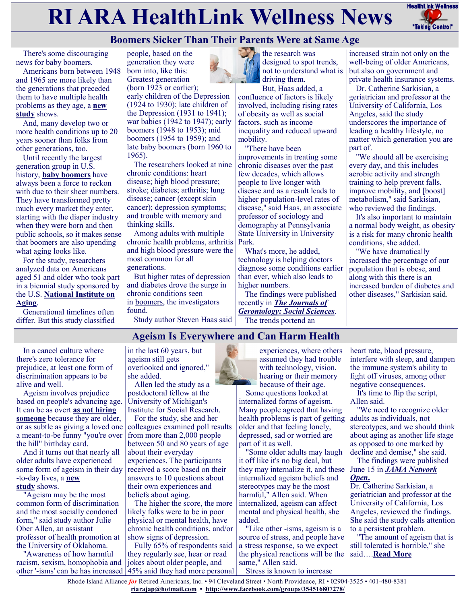# **RI ARA HealthLink Wellness News** HealthLink Wellness



# **Boomers Sicker Than Their Parents Were at Same Age**

There's some discouraging news for baby boomers.

Americans born between 1948 and 1965 are more likely than the generations that preceded them to have multiple health problems as they age, a **[new](https://academic.oup.com/psychsocgerontology/advance-article-abstract/doi/10.1093/geronb/gbac070/6591182?redirectedFrom=fulltext)  [study](https://academic.oup.com/psychsocgerontology/advance-article-abstract/doi/10.1093/geronb/gbac070/6591182?redirectedFrom=fulltext)** shows.

And, many develop two or more health conditions up to 20 years sooner than folks from other generations, too.

Until recently the largest generation group in U.S. history, **[baby boomers](https://www.history.com/topics/1960s/baby-boomers-1)** have always been a force to reckon with due to their sheer numbers. They have transformed pretty much every market they enter, starting with the diaper industry when they were born and then public schools, so it makes sense that boomers are also upending what aging looks like.

For the study, researchers analyzed data on Americans aged 51 and older who took part in a biennial study sponsored by the U.S. **[National Institute on](https://www.nia.nih.gov/health/supporting-older-patients-chronic-conditions)  [Aging](https://www.nia.nih.gov/health/supporting-older-patients-chronic-conditions)**.

Generational timelines often differ. But this study classified

people, based on the generation they were born into, like this: Greatest generation (born 1923 or earlier);

early children of the Depression (1924 to 1930); late children of the Depression (1931 to 1941); war babies (1942 to 1947); early boomers (1948 to 1953); mid boomers (1954 to 1959); and late baby boomers (born 1960 to 1965).

The researchers looked at nine chronic conditions: heart disease; high blood pressure; stroke; diabetes; arthritis; lung disease; cancer (except skin cancer); depression symptoms; and trouble with memory and thinking skills.

Among adults with multiple chronic health problems, arthritis Park. and high blood pressure were the most common for all generations.

But higher rates of depression and diabetes drove the surge in chronic conditions seen in [boomers,](https://www.prb.org/resources/aging-baby-boomers-to-face-caregiving-obesity-inequality-challenges/) the investigators found.

Study author Steven Haas said



the research was designed to spot trends, not to understand what is driving them.

But, Haas added, a confluence of factors is likely involved, including rising rates of obesity as well as social factors, such as income inequality and reduced upward mobility.

"There have been improvements in treating some chronic diseases over the past few decades, which allows people to live longer with disease and as a result leads to higher population-level rates of disease," said Haas, an associate professor of sociology and demography at Pennsylvania State University in University

What's more, he added, technology is helping doctors diagnose some conditions earlier than ever, which also leads to higher numbers.

The findings were published recently in *[The Journals of](https://academic.oup.com/psychsocgerontology/advance-article-abstract/doi/10.1093/geronb/gbac070/6591182?redirectedFrom=fulltext)  [Gerontology: Social Sciences](https://academic.oup.com/psychsocgerontology/advance-article-abstract/doi/10.1093/geronb/gbac070/6591182?redirectedFrom=fulltext)*. The trends portend an

increased strain not only on the well-being of older Americans, but also on government and private health insurance systems.

Dr. Catherine Sarkisian, a geriatrician and professor at the University of California, Los Angeles, said the study underscores the importance of leading a healthy lifestyle, no matter which generation you are part of.

"We should all be exercising every day, and this includes aerobic activity and strength training to help prevent falls, improve mobility, and [boost] metabolism," said Sarkisian, who reviewed the findings.

It's also important to maintain a normal body weight, as obesity is a risk for many chronic health conditions, she added.

"We have dramatically increased the percentage of our population that is obese, and along with this there is an increased burden of diabetes and other diseases," Sarkisian said.

# **Ageism Is Everywhere and Can Harm Health**

In a cancel culture where there's zero tolerance for prejudice, at least one form of discrimination appears to be alive and well.

Ageism involves prejudice based on people's advancing age. It can be as overt **as [not hiring](https://www.aarp.org/work/age-discrimination/still-thrives-in-america/)  [someone](https://www.aarp.org/work/age-discrimination/still-thrives-in-america/)** because they are older, or as subtle as giving a loved one a meant-to-be funny "you're over the hill" birthday card.

And it turns out that nearly all older adults have experienced some form of ageism in their day -to-day lives, a **[new](https://jamanetwork.com/journals/jamanetworkopen/fullarticle/2793359)  [study](https://jamanetwork.com/journals/jamanetworkopen/fullarticle/2793359)** shows.

"Ageism may be the most common form of discrimination and the most socially condoned form," said study author Julie Ober Allen, an assistant professor of health promotion at the University of Oklahoma.

"Awareness of how harmful racism, sexism, homophobia and other '-isms' can be has increased

in the last 60 years, but ageism still gets overlooked and ignored," she added.

Allen led the study as a postdoctoral fellow at the University of Michigan's Institute for Social Research.

For the study, she and her colleagues examined poll results from more than 2,000 people between 50 and 80 years of age about their everyday experiences. The participants received a score based on their answers to 10 questions about their own experiences and beliefs about aging.

The higher the score, the more likely folks were to be in poor physical or mental health, have chronic health conditions, and/or show signs of depression.

Fully 65% of respondents said they regularly see, hear or read jokes about older people, and 45% said they had more personal

experiences, where others assumed they had trouble with technology, vision, hearing or their memory because of their age.

Some questions looked at internalized forms of ageism. Many people agreed that having health problems is part of getting older and that feeling lonely, depressed, sad or worried are part of it as well.

"Some older adults may laugh it off like it's no big deal, but they may internalize it, and these internalized ageism beliefs and stereotypes may be the most harmful," Allen said. When internalized, ageism can affect mental and physical health, she added.

"Like other -isms, ageism is a source of stress, and people have a stress response, so we expect the physical reactions will be the same," Allen said. Stress is known to increase

heart rate, blood pressure, interfere with sleep, and dampen the immune system's ability to fight off viruses, among other negative consequences.

It's time to flip the script, Allen said.

"We need to recognize older adults as individuals, not stereotypes, and we should think about aging as another life stage as opposed to one marked by decline and demise," she said.

The findings were published June 15 in *[JAMA Network](https://jamanetwork.com/journals/jamanetworkopen/fullarticle/2793359)  [Open](https://jamanetwork.com/journals/jamanetworkopen/fullarticle/2793359)***.**

Dr. Catherine Sarkisian, a geriatrician and professor at the University of California, Los Angeles, reviewed the findings. She said the study calls attention to a persistent problem.

"The amount of ageism that is still tolerated is horrible," she said….**[Read More](https://consumer.healthday.com/6-17-ageism-is-everywhere-and-can-harm-health-2657511532.html)**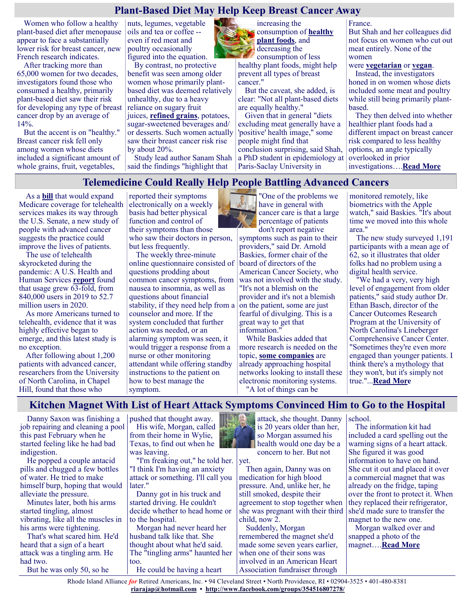# **Plant-Based Diet May Help Keep Breast Cancer Away**

Women who follow a healthy plant-based diet after menopause appear to face a substantially lower risk for breast cancer, new French research indicates.

After tracking more than 65,000 women for two decades, investigators found those who consumed a healthy, primarily plant-based diet saw their risk for developing any type of breast reliance on sugary fruit cancer drop by an average of 14%.

But the accent is on "healthy." Breast cancer risk fell only among women whose diets included a significant amount of whole grains, fruit, vegetables,

nuts, legumes, vegetable oils and tea or coffee - even if red meat and poultry occasionally figured into the equation.

By contrast, no protective benefit was seen among older women whose primarily plantbased diet was deemed relatively unhealthy, due to a heavy juices, **[refined grains](https://ask.usda.gov/s/article/What-are-refined-grains)**, potatoes, sugar-sweetened beverages and/ or desserts. Such women actually saw their breast cancer risk rise by about 20%.

Study lead author Sanam Shah said the findings "highlight that

increasing the consumption of **[healthy](https://www.health.harvard.edu/staying-healthy/the-right-plant-based-diet-for-you)  [plant foods](https://www.health.harvard.edu/staying-healthy/the-right-plant-based-diet-for-you)**, and decreasing the

consumption of less healthy plant foods, might help prevent all types of breast cancer."

But the caveat, she added, is clear: "Not all plant-based diets are equally healthy."

Given that in general "diets excluding meat generally have a 'positive' health image," some people might find that conclusion surprising, said Shah, a PhD student in epidemiology at Paris-Saclay University in

#### France.

But Shah and her colleagues did not focus on women who cut out meat entirely. None of the women

#### were **[vegetarian](https://vegsoc.org/info-hub/definition/)** or **[vegan](https://www.vrg.org/nutshell/vegan.htm)**.

Instead, the investigators honed in on women whose diets included some meat and poultry while still being primarily plantbased.

They then delved into whether healthier plant foods had a different impact on breast cancer risk compared to less healthy options, an angle typically overlooked in prior investigations….**[Read More](https://consumer.healthday.com/6-16-plant-based-diet-can-help-keep-breast-cancer-away-2657470151.html)**

# **Telemedicine Could Really Help People Battling Advanced Cancers**

As a **[bill](https://www.congress.gov/bill/117th-congress/senate-bill/3593)** that would expand Medicare coverage for telehealth services makes its way through the U.S. Senate, a new study of people with advanced cancer suggests the practice could improve the lives of patients.

The use of telehealth skyrocketed during the pandemic: A U.S. Health and Human Services **[report](https://www.hhs.gov/about/news/2021/12/03/new-hhs-study-shows-63-fold-increase-in-medicare-telehealth-utilization-during-pandemic.html)** found that usage grew 63-fold, from 840,000 users in 2019 to 52.7 million users in 2020.

As more Americans turned to telehealth, evidence that it was highly effective began to emerge, and this latest study is no exception.

After following about 1,200 patients with advanced cancer, researchers from the University of North Carolina, in Chapel Hill, found that those who

Danny Saxon was finishing a job repairing and cleaning a pool this past February when he started feeling like he had bad

He popped a couple antacid pills and chugged a few bottles of water. He tried to make himself burp, hoping that would

Minutes later, both his arms

vibrating, like all the muscles in his arms were tightening.

That's what scared him. He'd heard that a sign of a heart attack was a tingling arm. He

But he was only 50, so he

alleviate the pressure.

started tingling, almost

indigestion.

had two.

reported their symptoms electronically on a weekly basis had better physical function and control of their symptoms than those who saw their doctors in person,

but less frequently.

The weekly three-minute online questionnaire consisted of questions prodding about common cancer symptoms, from nausea to insomnia, as well as questions about financial stability, if they need help from a counselor and more. If the system concluded that further action was needed, or an alarming symptom was seen, it would trigger a response from a nurse or other monitoring attendant while offering standby instructions to the patient on how to best manage the symptom.



"One of the problems we have in general with cancer care is that a large percentage of patients don't report negative

symptoms such as pain to their providers," said Dr. Arnold Baskies, former chair of the board of directors of the American Cancer Society, who was not involved with the study. "It's not a blemish on the provider and it's not a blemish on the patient, some are just fearful of divulging. This is a great way to get that information."

While Baskies added that more research is needed on the topic, **[some companies](https://datos-health.com/)** are already approaching hospital networks looking to install these electronic monitoring systems. "A lot of things can be

monitored remotely, like biometrics with the Apple watch," said Baskies. "It's about time we moved into this whole area."

The new study surveyed 1,191 participants with a mean age of 62, so it illustrates that older folks had no problem using a digital health service.

"We had a very, very high level of engagement from older patients," said study author Dr. Ethan Basch, director of the Cancer Outcomes Research Program at the University of North Carolina's Lineberger Comprehensive Cancer Center. "Sometimes they're even more engaged than younger patients. I think there's a mythology that

**Kitchen Magnet With List of Heart Attack Symptoms Convinced Him to Go to the Hospital** The information kit had included a card spelling out the warning signs of a heart attack. they won't, but it's simply not true."...**[Read More](https://consumer.healthday.com/6-14-telehealth-could-be-boon-for-people-with-advanced-cancers-2657500573.html)**

She figured it was good information to have on hand. She cut it out and placed it over a commercial magnet that was already on the fridge, taping over the front to protect it. When they replaced their refrigerator, she'd made sure to transfer the magnet to the new one.

Morgan walked over and snapped a photo of the magnet….**[Read More](https://consumer.healthday.com/aha-news-kitchen-magnet-with-list-of-heart-attack-symptoms-convinced-him-to-go-to-the-hospital-2657524774.html)**

pushed that thought away. His wife, Morgan, called from their home in Wylie, Texas, to find out when he was leaving.

"I'm freaking out," he told her. yet. "I think I'm having an anxiety attack or something. I'll call you later."

Danny got in his truck and started driving. He couldn't decide whether to head home or to the hospital.

Morgan had never heard her husband talk like that. She thought about what he'd said. The "tingling arms" haunted her too. He could be having a heart

attack, she thought. Danny | school. is 20 years older than her, so Morgan assumed his health would one day be a concern to her. But not

Then again, Danny was on medication for high blood pressure. And, unlike her, he still smoked, despite their agreement to stop together when she was pregnant with their third child, now 2.

Suddenly, Morgan remembered the magnet she'd made some seven years earlier, when one of their sons was involved in an American Heart Association fundraiser through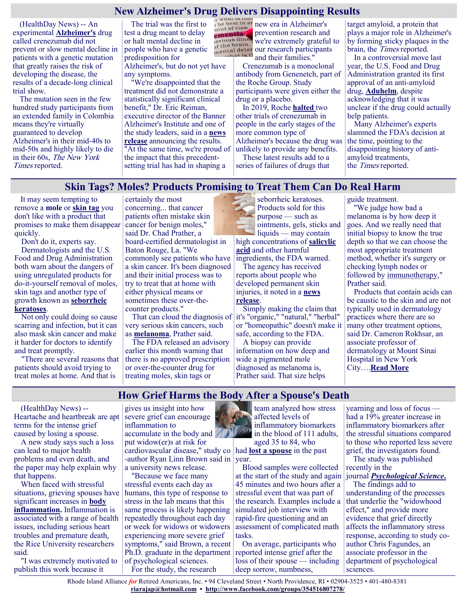# **New Alzheimer's Drug Delivers Disappointing Results**

(HealthDay News) -- An experimental **[Alzheimer's](https://www.cdc.gov/aging/aginginfo/alzheimers.htm)** drug called crenezumab did not prevent or slow mental decline in patients with a genetic mutation that greatly raises the risk of developing the disease, the results of a decade-long clinical trial show.

The mutation seen in the few hundred study participants from an extended family in Colombia means they're virtually guaranteed to develop Alzheimer's in their mid-40s to mid-50s and highly likely to die in their 60s, The New York Times reported.

The trial was the first to test a drug meant to delay or halt mental decline in people who have a genetic predisposition for

Alzheimer's, but do not yet have any symptoms.

"We're disappointed that the treatment did not demonstrate a statistically significant clinical benefit," Dr. Eric Reiman, executive director of the Banner Alzheimer's Institute and one of the study leaders, said in a **[news](https://www.gene.com/media/press-releases/14957/2022-06-15/genentech-provides-update-on-alzheimers-)  [release](https://www.gene.com/media/press-releases/14957/2022-06-15/genentech-provides-update-on-alzheimers-)** announcing the results. "At the same time, we're proud of the impact that this precedentsetting trial has had in shaping a

new era in Alzheimer's oint of view<br>
e**mentia**<br>
serious illnes<br>
f the brain. prevention research and serious illness we're extremely grateful<br>of the brain. We're extremely grateful<br>mental deter our research participants we're extremely grateful to hat is tl and their families."

> Crenezumab is a monoclonal antibody from Genenetch, part of the Roche Group. Study participants were given either the drug or a placebo.

> In 2019, Roche **[halted](https://www.alzforum.org/news/research-news/roche-pulls-plug-two-phase-3-trials-crenezumab)** two other trials of crenezumab in people in the early stages of the more common type of Alzheimer's because the drug was unlikely to provide any benefits.

These latest results add to a series of failures of drugs that target amyloid, a protein that plays a major role in Alzheimer's by forming sticky plaques in the brain, the Times reported.

In a controversial move last year, the U.S. Food and Drug Administration granted its first approval of an anti-amyloid drug, **[Aduhelm](https://www.fda.gov/news-events/press-announcements/fda-grants-accelerated-approval-alzheimers-drug)**, despite acknowledging that it was unclear if the drug could actually help patients.

Many Alzheimer's experts slammed the FDA's decision at the time, pointing to the disappointing history of antiamyloid treatments, the Times reported.

#### **Skin Tags? Moles? Products Promising to Treat Them Can Do Real Harm**

 It may seem tempting to remove a **[mole](https://www.aad.org/public/diseases/a-z/moles-types)** or **[skin tag](https://my.clevelandclinic.org/health/diseases/21528-skin-tags-acrochordons#:~:text=Skin%20tags%20(acrochordons)%20are%20small,large%20as%20a%20few%20centimeters.)** you don't like with a product that promises to make them disappear quickly.

Don't do it, experts say. Dermatologists and the U.S. Food and Drug Administration both warn about the dangers of using unregulated products for do-it-yourself removal of moles, skin tags and another type of growth known as **[seborrheic](https://my.clevelandclinic.org/health/diseases/21721-seborrheic-keratosis)  [keratoses](https://my.clevelandclinic.org/health/diseases/21721-seborrheic-keratosis)**.

Not only could doing so cause scarring and infection, but it can also mask skin cancer and make it harder for doctors to identify and treat promptly.

"There are several reasons that patients should avoid trying to treat moles at home. And that is

certainly the most concerning... that cancer patients often mistake skin cancer for benign moles," said Dr. Chad Prather, a board-certified dermatologist in Baton Rouge, La. "We commonly see patients who have a skin cancer. It's been diagnosed and their initial process was to try to treat that at home with either physical means or sometimes these over-thecounter products."

very serious skin cancers, such as **[melanoma](https://my.clevelandclinic.org/health/diseases/14391-melanoma#:~:text=Melanoma%2C%20which%20means%20%22black%20tumor,that%20gives%20skin%20its%20color.)**, Prather said.

The FDA released an advisory earlier this month warning that there is no approved prescription or over-the-counter drug for treating moles, skin tags or

seborrheic keratoses. Products sold for this purpose — such as ointments, gels, sticks and  $\blacksquare$ liquids — may contain high concentrations of **[salicylic](https://medlineplus.gov/druginfo/meds/a607072.html)  [acid](https://medlineplus.gov/druginfo/meds/a607072.html)** and other harmful ingredients, the FDA warned.

The agency has received reports about people who developed permanent skin injuries, it noted in a **[news](https://www.fda.gov/consumers/consumer-updates/products-marketed-removing-moles-and-other-skin-lesions-can-cause-injuries-scarring)  [release](https://www.fda.gov/consumers/consumer-updates/products-marketed-removing-moles-and-other-skin-lesions-can-cause-injuries-scarring)**.

That can cloud the diagnosis of it's "organic," "natural," "herbal" Simply making the claim that or "homeopathic" doesn't make it safe, according to the FDA.

> A biopsy can provide information on how deep and wide a pigmented mole diagnosed as melanoma is, Prather said. That size helps

guide treatment.

"We judge how bad a melanoma is by how deep it goes. And we really need that initial biopsy to know the true depth so that we can choose the most appropriate treatment method, whether it's surgery or checking lymph nodes or followed by [immunotherapy,](https://www.cancer.org/cancer/melanoma-skin-cancer/treating/immunotherapy.html)" Prather said.

Products that contain acids can be caustic to the skin and are not typically used in dermatology practices where there are so many other treatment options, said Dr. Cameron Rokhsar, an associate professor of dermatology at Mount Sinai Hospital in New York City….**[Read More](https://consumer.healthday.com/6-20-skin-tags-moles-products-promising-to-treat-them-can-do-real-harm-2657506511.html)**

# **How Grief Harms the Body After a Spouse's Death**

(HealthDay News) -- Heartache and heartbreak are apt terms for the intense grief caused by losing a spouse.

A new study says such a loss can lead to major health problems and even death, and the paper may help explain why that happens.

When faced with stressful situations, grieving spouses have significant increases in **[body](https://www.yalemedicine.org/news/how-inflammation-affects-your-health)  [inflammation.](https://www.yalemedicine.org/news/how-inflammation-affects-your-health)** Inflammation is associated with a range of health issues, including serious heart troubles and premature death, the Rice University researchers said.

"I was extremely motivated to publish this work because it

gives us insight into how severe grief can encourage inflammation to accumulate in the body and

put widow(er)s at risk for cardiovascular disease," study co had **[lost a spouse](https://www.nia.nih.gov/health/mourning-death-spouse)** in the past -author Ryan Linn Brown said in a university news release.

"Because we face many stressful events each day as humans, this type of response to stress in the lab means that this same process is likely happening repeatedly throughout each day or week for widows or widowers experiencing more severe grief symptoms," said Brown, a recent Ph.D. graduate in the department of psychological sciences. For the study, the research



team analyzed how stress affected levels of inflammatory biomarkers in the blood of 111 adults, aged 35 to 84, who

year.

Blood samples were collected at the start of the study and again 45 minutes and two hours after a stressful event that was part of the research. Examples include a simulated job interview with rapid-fire questioning and an assessment of complicated math tasks.

On average, participants who reported intense grief after the loss of their spouse — including deep sorrow, numbness,

yearning and loss of focus had a 19% greater increase in inflammatory biomarkers after the stressful situations compared to those who reported less severe grief, the investigators found.

The study was published recently in the journal *[Psychological Science](https://journals.sagepub.com/doi/abs/10.1177/09567976211059502?journalCode=pssa)***.** The findings add to understanding of the processes that underlie the "widowhood effect," and provide more evidence that grief directly affects the inflammatory stress response, according to study coauthor Chris Fagundes, an associate professor in the department of psychological sciences.